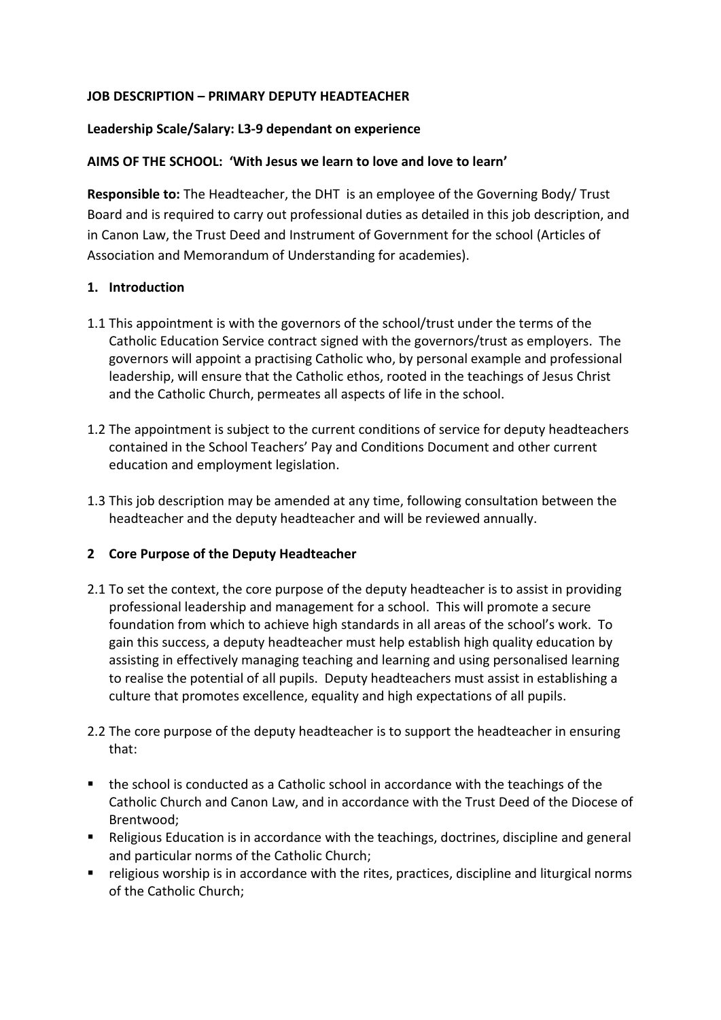## **JOB DESCRIPTION – PRIMARY DEPUTY HEADTEACHER**

## **Leadership Scale/Salary: L3-9 dependant on experience**

## **AIMS OF THE SCHOOL: 'With Jesus we learn to love and love to learn'**

**Responsible to:** The Headteacher, the DHT is an employee of the Governing Body/ Trust Board and is required to carry out professional duties as detailed in this job description, and in Canon Law, the Trust Deed and Instrument of Government for the school (Articles of Association and Memorandum of Understanding for academies).

## **1. Introduction**

- 1.1 This appointment is with the governors of the school/trust under the terms of the Catholic Education Service contract signed with the governors/trust as employers. The governors will appoint a practising Catholic who, by personal example and professional leadership, will ensure that the Catholic ethos, rooted in the teachings of Jesus Christ and the Catholic Church, permeates all aspects of life in the school.
- 1.2 The appointment is subject to the current conditions of service for deputy headteachers contained in the School Teachers' Pay and Conditions Document and other current education and employment legislation.
- 1.3 This job description may be amended at any time, following consultation between the headteacher and the deputy headteacher and will be reviewed annually.

## **2 Core Purpose of the Deputy Headteacher**

- 2.1 To set the context, the core purpose of the deputy headteacher is to assist in providing professional leadership and management for a school. This will promote a secure foundation from which to achieve high standards in all areas of the school's work. To gain this success, a deputy headteacher must help establish high quality education by assisting in effectively managing teaching and learning and using personalised learning to realise the potential of all pupils. Deputy headteachers must assist in establishing a culture that promotes excellence, equality and high expectations of all pupils.
- 2.2 The core purpose of the deputy headteacher is to support the headteacher in ensuring that:
- the school is conducted as a Catholic school in accordance with the teachings of the Catholic Church and Canon Law, and in accordance with the Trust Deed of the Diocese of Brentwood;
- Religious Education is in accordance with the teachings, doctrines, discipline and general and particular norms of the Catholic Church;
- **•** religious worship is in accordance with the rites, practices, discipline and liturgical norms of the Catholic Church;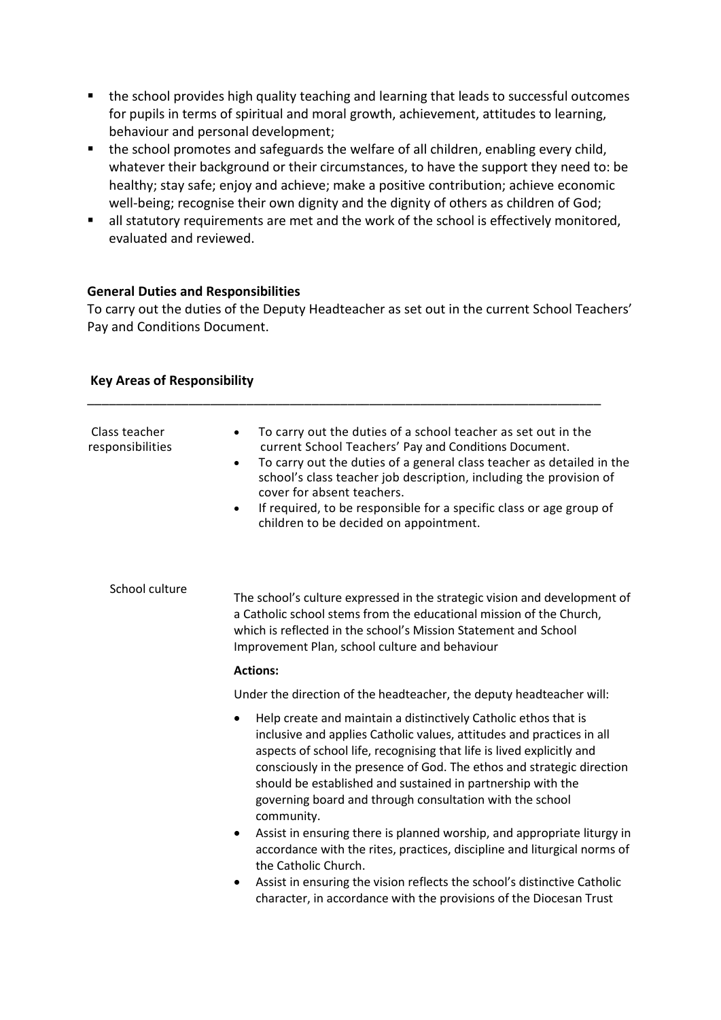- the school provides high quality teaching and learning that leads to successful outcomes for pupils in terms of spiritual and moral growth, achievement, attitudes to learning, behaviour and personal development;
- the school promotes and safeguards the welfare of all children, enabling every child, whatever their background or their circumstances, to have the support they need to: be healthy; stay safe; enjoy and achieve; make a positive contribution; achieve economic well-being; recognise their own dignity and the dignity of others as children of God;
- **all statutory requirements are met and the work of the school is effectively monitored,** evaluated and reviewed.

## **General Duties and Responsibilities**

To carry out the duties of the Deputy Headteacher as set out in the current School Teachers' Pay and Conditions Document.

| Class teacher<br>responsibilities | To carry out the duties of a school teacher as set out in the<br>$\bullet$<br>current School Teachers' Pay and Conditions Document.<br>To carry out the duties of a general class teacher as detailed in the<br>$\bullet$<br>school's class teacher job description, including the provision of<br>cover for absent teachers.<br>If required, to be responsible for a specific class or age group of<br>$\bullet$<br>children to be decided on appointment. |  |
|-----------------------------------|-------------------------------------------------------------------------------------------------------------------------------------------------------------------------------------------------------------------------------------------------------------------------------------------------------------------------------------------------------------------------------------------------------------------------------------------------------------|--|
| School culture                    | The school's culture expressed in the strategic vision and development of<br>a Catholic school stems from the educational mission of the Church,<br>which is reflected in the school's Mission Statement and School<br>Improvement Plan, school culture and behaviour                                                                                                                                                                                       |  |
|                                   | <b>Actions:</b>                                                                                                                                                                                                                                                                                                                                                                                                                                             |  |
|                                   | Under the direction of the headteacher, the deputy headteacher will:                                                                                                                                                                                                                                                                                                                                                                                        |  |
|                                   | Help create and maintain a distinctively Catholic ethos that is<br>$\bullet$<br>inclusive and applies Catholic values, attitudes and practices in all<br>aspects of school life, recognising that life is lived explicitly and<br>consciously in the presence of God. The ethos and strategic direction<br>should be established and sustained in partnership with the<br>governing board and through consultation with the school<br>community.            |  |
|                                   | Assist in ensuring there is planned worship, and appropriate liturgy in<br>٠<br>accordance with the rites, practices, discipline and liturgical norms of<br>the Catholic Church.                                                                                                                                                                                                                                                                            |  |
|                                   | Assist in ensuring the vision reflects the school's distinctive Catholic<br>character, in accordance with the provisions of the Diocesan Trust                                                                                                                                                                                                                                                                                                              |  |
|                                   |                                                                                                                                                                                                                                                                                                                                                                                                                                                             |  |

#### **Key Areas of Responsibility**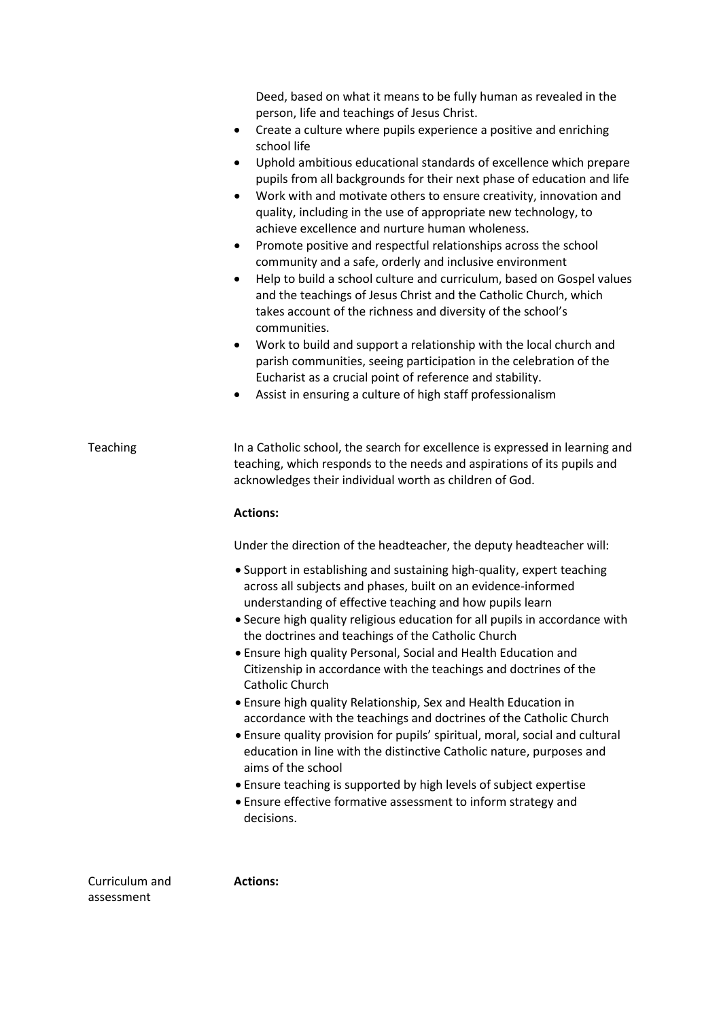|                | Deed, based on what it means to be fully human as revealed in the<br>person, life and teachings of Jesus Christ.<br>Create a culture where pupils experience a positive and enriching<br>٠<br>school life<br>Uphold ambitious educational standards of excellence which prepare<br>٠<br>pupils from all backgrounds for their next phase of education and life<br>Work with and motivate others to ensure creativity, innovation and<br>$\bullet$<br>quality, including in the use of appropriate new technology, to<br>achieve excellence and nurture human wholeness.<br>Promote positive and respectful relationships across the school<br>٠<br>community and a safe, orderly and inclusive environment<br>Help to build a school culture and curriculum, based on Gospel values<br>$\bullet$<br>and the teachings of Jesus Christ and the Catholic Church, which<br>takes account of the richness and diversity of the school's<br>communities.<br>Work to build and support a relationship with the local church and<br>٠<br>parish communities, seeing participation in the celebration of the<br>Eucharist as a crucial point of reference and stability.<br>Assist in ensuring a culture of high staff professionalism<br>٠ |
|----------------|-------------------------------------------------------------------------------------------------------------------------------------------------------------------------------------------------------------------------------------------------------------------------------------------------------------------------------------------------------------------------------------------------------------------------------------------------------------------------------------------------------------------------------------------------------------------------------------------------------------------------------------------------------------------------------------------------------------------------------------------------------------------------------------------------------------------------------------------------------------------------------------------------------------------------------------------------------------------------------------------------------------------------------------------------------------------------------------------------------------------------------------------------------------------------------------------------------------------------------------|
| Teaching       | In a Catholic school, the search for excellence is expressed in learning and<br>teaching, which responds to the needs and aspirations of its pupils and<br>acknowledges their individual worth as children of God.                                                                                                                                                                                                                                                                                                                                                                                                                                                                                                                                                                                                                                                                                                                                                                                                                                                                                                                                                                                                                  |
|                | <b>Actions:</b>                                                                                                                                                                                                                                                                                                                                                                                                                                                                                                                                                                                                                                                                                                                                                                                                                                                                                                                                                                                                                                                                                                                                                                                                                     |
|                | Under the direction of the headteacher, the deputy headteacher will:                                                                                                                                                                                                                                                                                                                                                                                                                                                                                                                                                                                                                                                                                                                                                                                                                                                                                                                                                                                                                                                                                                                                                                |
|                | • Support in establishing and sustaining high-quality, expert teaching<br>across all subjects and phases, built on an evidence-informed<br>understanding of effective teaching and how pupils learn<br>• Secure high quality religious education for all pupils in accordance with<br>the doctrines and teachings of the Catholic Church<br>• Ensure high quality Personal, Social and Health Education and<br>Citizenship in accordance with the teachings and doctrines of the<br>Catholic Church<br>• Ensure high quality Relationship, Sex and Health Education in<br>accordance with the teachings and doctrines of the Catholic Church<br>• Ensure quality provision for pupils' spiritual, moral, social and cultural<br>education in line with the distinctive Catholic nature, purposes and<br>aims of the school<br>• Ensure teaching is supported by high levels of subject expertise<br>• Ensure effective formative assessment to inform strategy and<br>decisions.                                                                                                                                                                                                                                                    |
| Curriculum and | <b>Actions:</b>                                                                                                                                                                                                                                                                                                                                                                                                                                                                                                                                                                                                                                                                                                                                                                                                                                                                                                                                                                                                                                                                                                                                                                                                                     |

assessment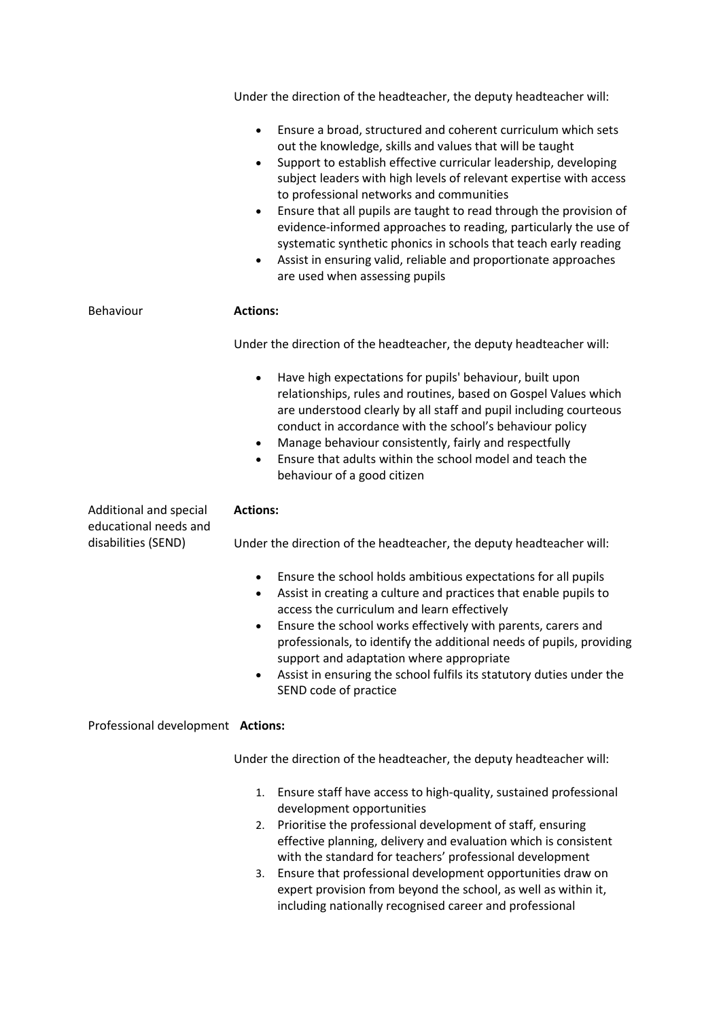|                                                 | Under the direction of the headteacher, the deputy headteacher will:                                                                                                                                                                                                                                                                                                                                                                                                                                                                                                                                                                                                   |
|-------------------------------------------------|------------------------------------------------------------------------------------------------------------------------------------------------------------------------------------------------------------------------------------------------------------------------------------------------------------------------------------------------------------------------------------------------------------------------------------------------------------------------------------------------------------------------------------------------------------------------------------------------------------------------------------------------------------------------|
|                                                 | Ensure a broad, structured and coherent curriculum which sets<br>$\bullet$<br>out the knowledge, skills and values that will be taught<br>Support to establish effective curricular leadership, developing<br>٠<br>subject leaders with high levels of relevant expertise with access<br>to professional networks and communities<br>Ensure that all pupils are taught to read through the provision of<br>٠<br>evidence-informed approaches to reading, particularly the use of<br>systematic synthetic phonics in schools that teach early reading<br>Assist in ensuring valid, reliable and proportionate approaches<br>$\bullet$<br>are used when assessing pupils |
| Behaviour                                       | <b>Actions:</b>                                                                                                                                                                                                                                                                                                                                                                                                                                                                                                                                                                                                                                                        |
|                                                 | Under the direction of the headteacher, the deputy headteacher will:                                                                                                                                                                                                                                                                                                                                                                                                                                                                                                                                                                                                   |
|                                                 | Have high expectations for pupils' behaviour, built upon<br>$\bullet$<br>relationships, rules and routines, based on Gospel Values which<br>are understood clearly by all staff and pupil including courteous<br>conduct in accordance with the school's behaviour policy<br>Manage behaviour consistently, fairly and respectfully<br>٠<br>Ensure that adults within the school model and teach the<br>$\bullet$<br>behaviour of a good citizen                                                                                                                                                                                                                       |
| Additional and special<br>educational needs and | <b>Actions:</b>                                                                                                                                                                                                                                                                                                                                                                                                                                                                                                                                                                                                                                                        |
| disabilities (SEND)                             | Under the direction of the headteacher, the deputy headteacher will:                                                                                                                                                                                                                                                                                                                                                                                                                                                                                                                                                                                                   |
|                                                 | Ensure the school holds ambitious expectations for all pupils<br>$\bullet$<br>Assist in creating a culture and practices that enable pupils to<br>$\bullet$<br>access the curriculum and learn effectively<br>Ensure the school works effectively with parents, carers and<br>professionals, to identify the additional needs of pupils, providing<br>support and adaptation where appropriate<br>Assist in ensuring the school fulfils its statutory duties under the<br>٠<br>SEND code of practice                                                                                                                                                                   |
| Professional development Actions:               |                                                                                                                                                                                                                                                                                                                                                                                                                                                                                                                                                                                                                                                                        |
|                                                 | Under the direction of the headteacher, the deputy headteacher will:                                                                                                                                                                                                                                                                                                                                                                                                                                                                                                                                                                                                   |
|                                                 | Ensure staff have access to high-quality, sustained professional<br>1.<br>development opportunities                                                                                                                                                                                                                                                                                                                                                                                                                                                                                                                                                                    |
|                                                 | Prioritise the professional development of staff, ensuring<br>$\mathcal{P}$                                                                                                                                                                                                                                                                                                                                                                                                                                                                                                                                                                                            |

- 2. Prioritise the professional development of staff, ensuring effective planning, delivery and evaluation which is consistent with the standard for teachers' professional development
- 3. Ensure that professional development opportunities draw on expert provision from beyond the school, as well as within it, including nationally recognised career and professional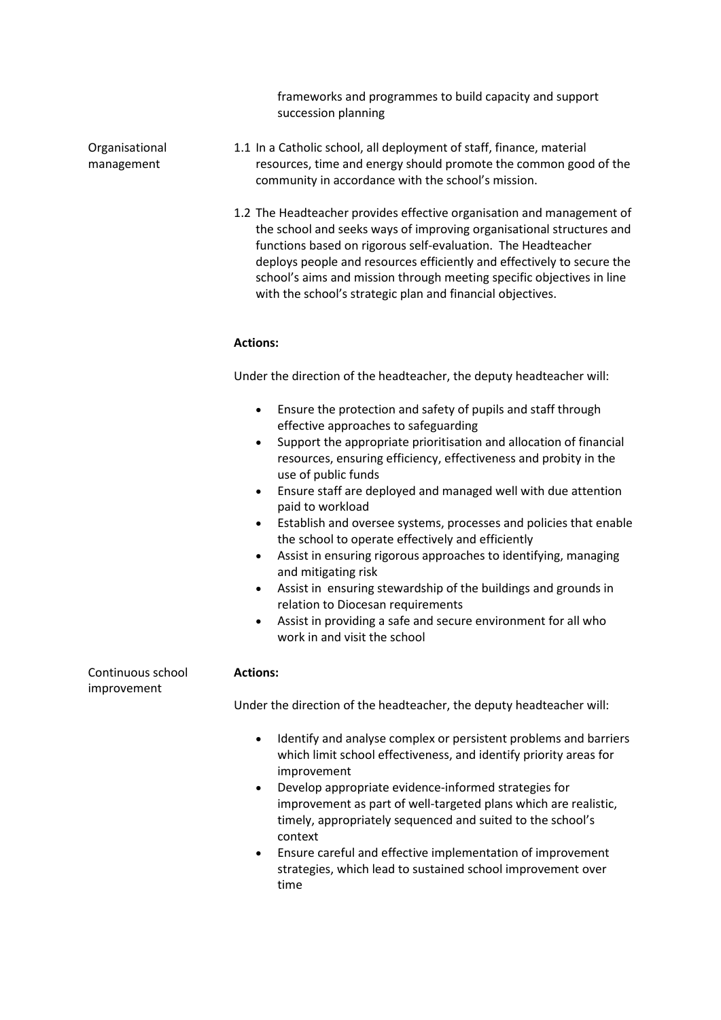frameworks and programmes to build capacity and support succession planning

Organisational management

- 1.1 In a Catholic school, all deployment of staff, finance, material resources, time and energy should promote the common good of the community in accordance with the school's mission.
- 1.2 The Headteacher provides effective organisation and management of the school and seeks ways of improving organisational structures and functions based on rigorous self-evaluation. The Headteacher deploys people and resources efficiently and effectively to secure the school's aims and mission through meeting specific objectives in line with the school's strategic plan and financial objectives.

#### **Actions:**

Under the direction of the headteacher, the deputy headteacher will:

- Ensure the protection and safety of pupils and staff through effective approaches to safeguarding
- Support the appropriate prioritisation and allocation of financial resources, ensuring efficiency, effectiveness and probity in the use of public funds
- Ensure staff are deployed and managed well with due attention paid to workload
- Establish and oversee systems, processes and policies that enable the school to operate effectively and efficiently
- Assist in ensuring rigorous approaches to identifying, managing and mitigating risk
- Assist in ensuring stewardship of the buildings and grounds in relation to Diocesan requirements
- Assist in providing a safe and secure environment for all who work in and visit the school

| Continuous school<br>improvement | <b>Actions:</b>                                                                                                                                                                                                                                                                                                                                                                                                                                                                                                                      |
|----------------------------------|--------------------------------------------------------------------------------------------------------------------------------------------------------------------------------------------------------------------------------------------------------------------------------------------------------------------------------------------------------------------------------------------------------------------------------------------------------------------------------------------------------------------------------------|
|                                  | Under the direction of the headteacher, the deputy headteacher will:                                                                                                                                                                                                                                                                                                                                                                                                                                                                 |
|                                  | Identify and analyse complex or persistent problems and barriers<br>$\bullet$<br>which limit school effectiveness, and identify priority areas for<br>improvement<br>Develop appropriate evidence-informed strategies for<br>$\bullet$<br>improvement as part of well-targeted plans which are realistic,<br>timely, appropriately sequenced and suited to the school's<br>context<br>Ensure careful and effective implementation of improvement<br>$\bullet$<br>strategies, which lead to sustained school improvement over<br>time |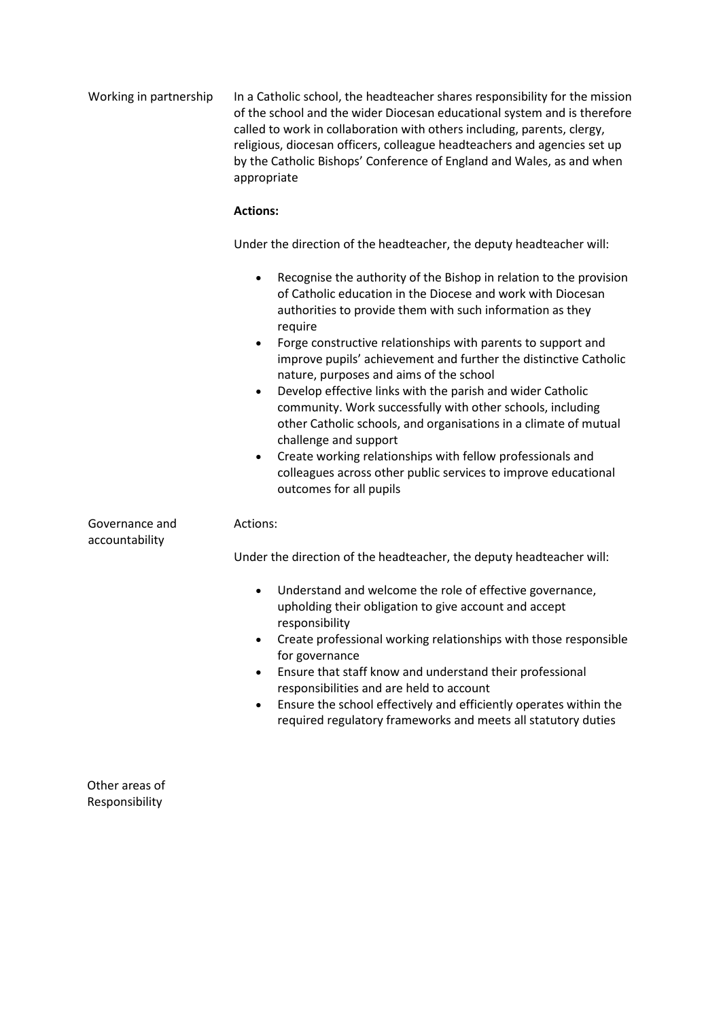| Working in partnership           | In a Catholic school, the headteacher shares responsibility for the mission<br>of the school and the wider Diocesan educational system and is therefore<br>called to work in collaboration with others including, parents, clergy,<br>religious, diocesan officers, colleague headteachers and agencies set up<br>by the Catholic Bishops' Conference of England and Wales, as and when<br>appropriate                                                                                                                                                                                                                                                                                                                                                                                                                           |
|----------------------------------|----------------------------------------------------------------------------------------------------------------------------------------------------------------------------------------------------------------------------------------------------------------------------------------------------------------------------------------------------------------------------------------------------------------------------------------------------------------------------------------------------------------------------------------------------------------------------------------------------------------------------------------------------------------------------------------------------------------------------------------------------------------------------------------------------------------------------------|
|                                  | <b>Actions:</b>                                                                                                                                                                                                                                                                                                                                                                                                                                                                                                                                                                                                                                                                                                                                                                                                                  |
|                                  | Under the direction of the headteacher, the deputy headteacher will:                                                                                                                                                                                                                                                                                                                                                                                                                                                                                                                                                                                                                                                                                                                                                             |
|                                  | Recognise the authority of the Bishop in relation to the provision<br>$\bullet$<br>of Catholic education in the Diocese and work with Diocesan<br>authorities to provide them with such information as they<br>require<br>Forge constructive relationships with parents to support and<br>$\bullet$<br>improve pupils' achievement and further the distinctive Catholic<br>nature, purposes and aims of the school<br>Develop effective links with the parish and wider Catholic<br>$\bullet$<br>community. Work successfully with other schools, including<br>other Catholic schools, and organisations in a climate of mutual<br>challenge and support<br>Create working relationships with fellow professionals and<br>$\bullet$<br>colleagues across other public services to improve educational<br>outcomes for all pupils |
| Governance and<br>accountability | Actions:                                                                                                                                                                                                                                                                                                                                                                                                                                                                                                                                                                                                                                                                                                                                                                                                                         |
|                                  | Under the direction of the headteacher, the deputy headteacher will:                                                                                                                                                                                                                                                                                                                                                                                                                                                                                                                                                                                                                                                                                                                                                             |
|                                  | Understand and welcome the role of effective governance,<br>$\bullet$<br>upholding their obligation to give account and accept<br>responsibility<br>Create professional working relationships with those responsible<br>for governance<br>Ensure that staff know and understand their professional<br>responsibilities and are held to account<br>Ensure the school effectively and efficiently operates within the<br>$\bullet$<br>required regulatory frameworks and meets all statutory duties                                                                                                                                                                                                                                                                                                                                |

Other areas of Responsibility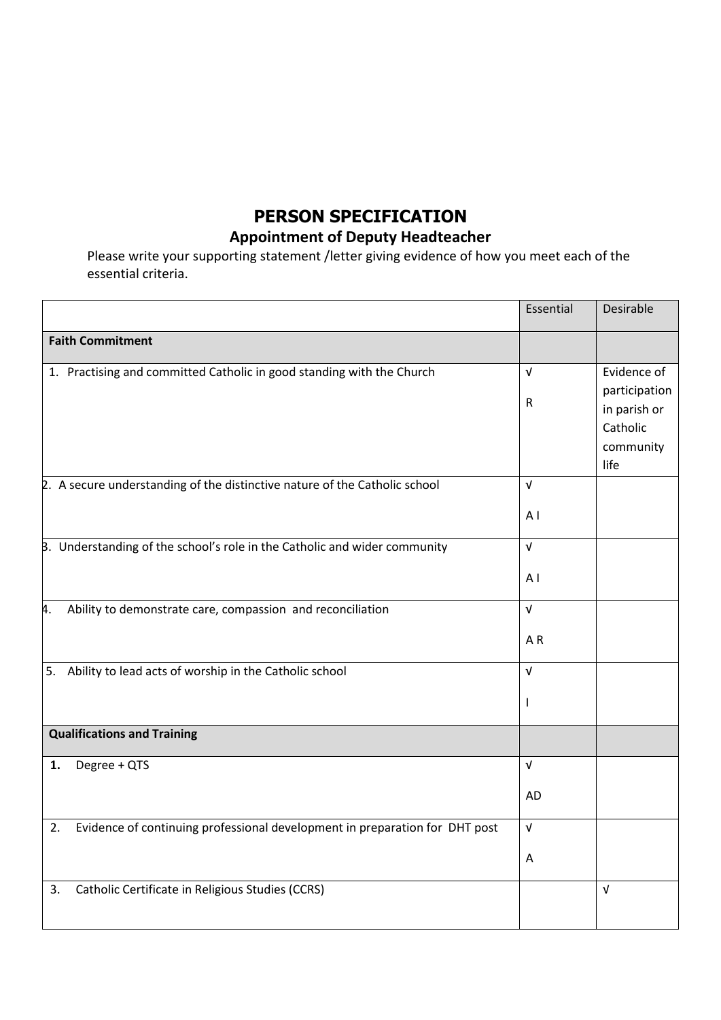## **PERSON SPECIFICATION**

## **Appointment of Deputy Headteacher**

Please write your supporting statement /letter giving evidence of how you meet each of the essential criteria.

|                                                                                   | Essential                    | Desirable                                                                     |
|-----------------------------------------------------------------------------------|------------------------------|-------------------------------------------------------------------------------|
| <b>Faith Commitment</b>                                                           |                              |                                                                               |
| 1. Practising and committed Catholic in good standing with the Church             | $\sqrt{ }$<br>R              | Evidence of<br>participation<br>in parish or<br>Catholic<br>community<br>life |
| 2. A secure understanding of the distinctive nature of the Catholic school        | $\sqrt{ }$<br>AI             |                                                                               |
| B. Understanding of the school's role in the Catholic and wider community         | $\sqrt{ }$<br>A <sub>1</sub> |                                                                               |
| Ability to demonstrate care, compassion and reconciliation<br>4.                  | $\sqrt{ }$<br>AR             |                                                                               |
| Ability to lead acts of worship in the Catholic school<br>5.                      | $\sqrt{ }$<br>I.             |                                                                               |
| <b>Qualifications and Training</b>                                                |                              |                                                                               |
| Degree + QTS<br>1.                                                                | $\sqrt{ }$<br><b>AD</b>      |                                                                               |
| Evidence of continuing professional development in preparation for DHT post<br>2. | $\sqrt{ }$<br>A              |                                                                               |
| Catholic Certificate in Religious Studies (CCRS)<br>3.                            |                              | $\sqrt{ }$                                                                    |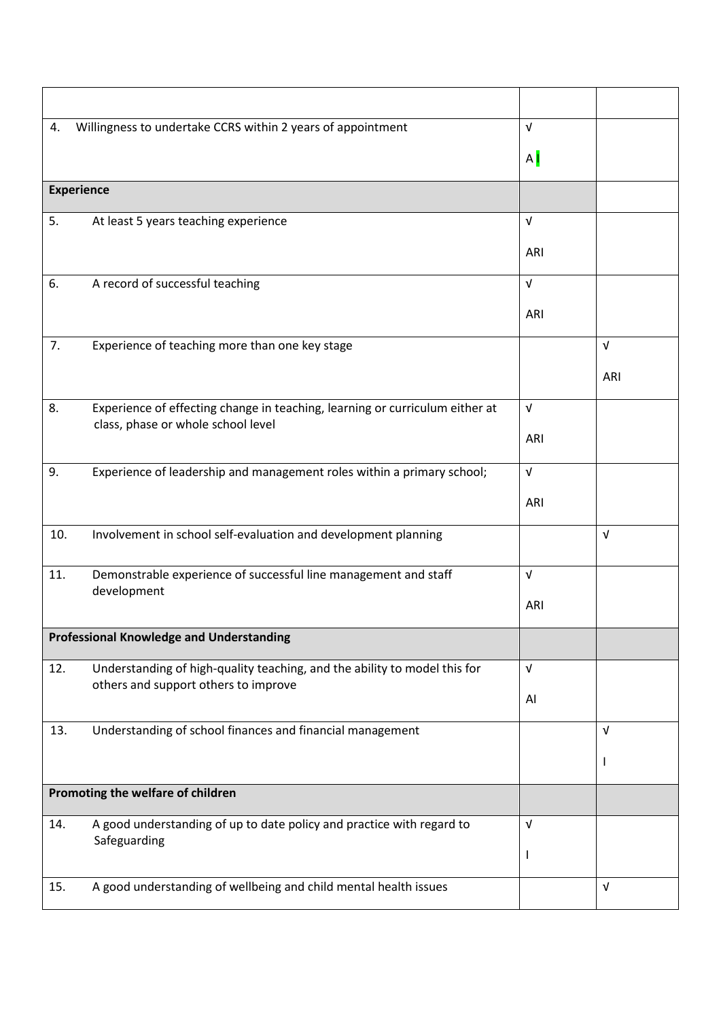| 4.                                | Willingness to undertake CCRS within 2 years of appointment                                                        | $\sqrt{ }$     |            |
|-----------------------------------|--------------------------------------------------------------------------------------------------------------------|----------------|------------|
|                                   |                                                                                                                    | A <sub>l</sub> |            |
|                                   | <b>Experience</b>                                                                                                  |                |            |
| 5.                                | At least 5 years teaching experience                                                                               | $\sqrt{ }$     |            |
|                                   |                                                                                                                    | ARI            |            |
| 6.                                | A record of successful teaching                                                                                    | $\sqrt{ }$     |            |
|                                   |                                                                                                                    | ARI            |            |
| 7.                                | Experience of teaching more than one key stage                                                                     |                | $\sqrt{ }$ |
|                                   |                                                                                                                    |                | ARI        |
| 8.                                | Experience of effecting change in teaching, learning or curriculum either at<br>class, phase or whole school level | $\sqrt{ }$     |            |
|                                   |                                                                                                                    | ARI            |            |
| 9.                                | Experience of leadership and management roles within a primary school;                                             | $\sqrt{ }$     |            |
|                                   |                                                                                                                    | ARI            |            |
| 10.                               | Involvement in school self-evaluation and development planning                                                     |                | $\sqrt{ }$ |
| 11.                               | Demonstrable experience of successful line management and staff                                                    | $\sqrt{ }$     |            |
|                                   | development                                                                                                        | ARI            |            |
|                                   | <b>Professional Knowledge and Understanding</b>                                                                    |                |            |
| 12.                               | Understanding of high-quality teaching, and the ability to model this for                                          | $\sqrt{ }$     |            |
|                                   | others and support others to improve                                                                               | Al             |            |
| 13.                               | Understanding of school finances and financial management                                                          |                | $\sqrt{ }$ |
|                                   |                                                                                                                    |                | ı          |
| Promoting the welfare of children |                                                                                                                    |                |            |
| 14.                               | A good understanding of up to date policy and practice with regard to                                              | V              |            |
|                                   | Safeguarding                                                                                                       | J.             |            |
| 15.                               | A good understanding of wellbeing and child mental health issues                                                   |                | $\sqrt{ }$ |